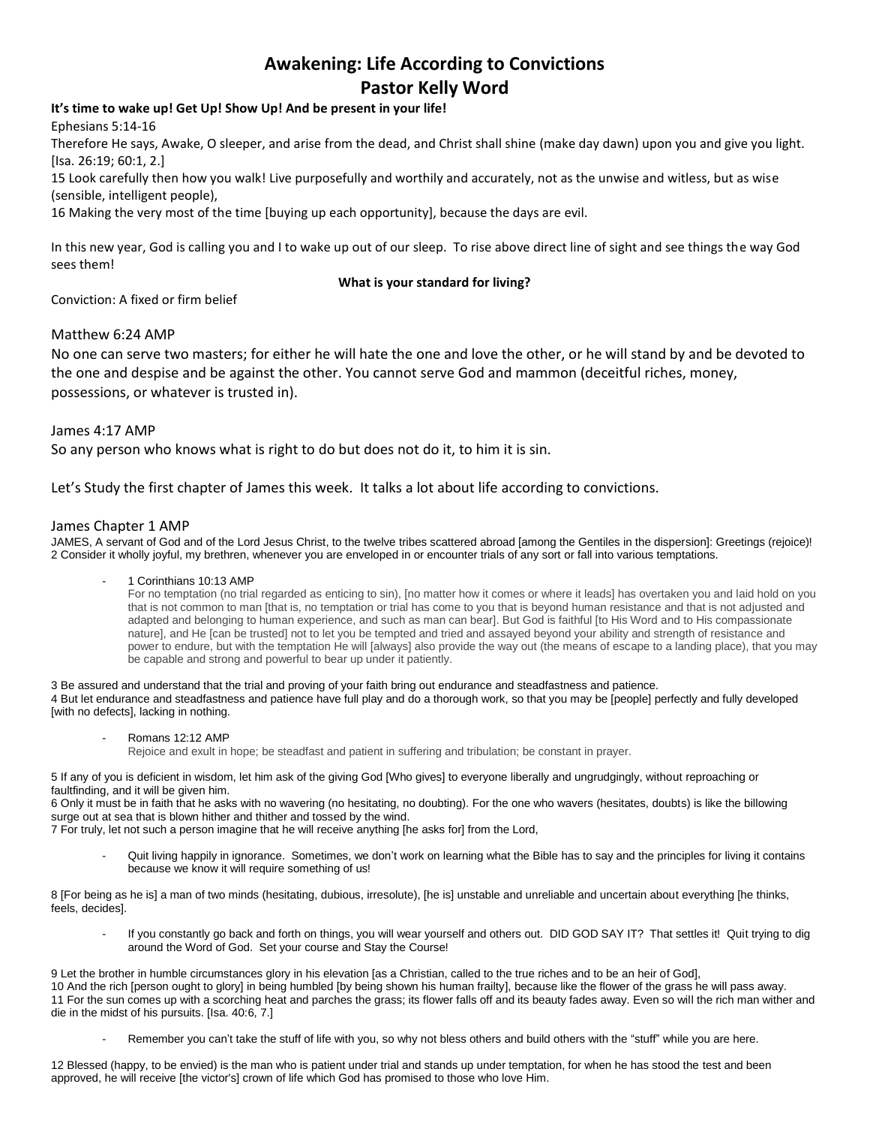# **Awakening: Life According to Convictions Pastor Kelly Word**

# **It's time to wake up! Get Up! Show Up! And be present in your life!**

Ephesians 5:14-16

Therefore He says, Awake, O sleeper, and arise from the dead, and Christ shall shine (make day dawn) upon you and give you light. [Isa. 26:19; 60:1, 2.]

15 Look carefully then how you walk! Live purposefully and worthily and accurately, not as the unwise and witless, but as wise (sensible, intelligent people),

16 Making the very most of the time [buying up each opportunity], because the days are evil.

In this new year, God is calling you and I to wake up out of our sleep. To rise above direct line of sight and see things the way God sees them!

## **What is your standard for living?**

Conviction: A fixed or firm belief

## Matthew 6:24 AMP

No one can serve two masters; for either he will hate the one and love the other, or he will stand by and be devoted to the one and despise and be against the other. You cannot serve God and mammon (deceitful riches, money, possessions, or whatever is trusted in).

James 4:17 AMP So any person who knows what is right to do but does not do it, to him it is sin.

Let's Study the first chapter of James this week. It talks a lot about life according to convictions.

## James Chapter 1 AMP

JAMES, A servant of God and of the Lord Jesus Christ, to the twelve tribes scattered abroad [among the Gentiles in the dispersion]: Greetings (rejoice)! 2 Consider it wholly joyful, my brethren, whenever you are enveloped in or encounter trials of any sort or fall into various temptations.

#### 1 Corinthians 10:13 AMP

For no temptation (no trial regarded as enticing to sin), [no matter how it comes or where it leads] has overtaken you and laid hold on you that is not common to man [that is, no temptation or trial has come to you that is beyond human resistance and that is not adjusted and adapted and belonging to human experience, and such as man can bear]. But God is faithful [to His Word and to His compassionate nature], and He [can be trusted] not to let you be tempted and tried and assayed beyond your ability and strength of resistance and power to endure, but with the temptation He will [always] also provide the way out (the means of escape to a landing place), that you may be capable and strong and powerful to bear up under it patiently.

3 Be assured and understand that the trial and proving of your faith bring out endurance and steadfastness and patience. 4 But let endurance and steadfastness and patience have full play and do a thorough work, so that you may be [people] perfectly and fully developed

[with no defects], lacking in nothing.

#### Romans 12:12 AMP

Rejoice and exult in hope; be steadfast and patient in suffering and tribulation; be constant in prayer.

5 If any of you is deficient in wisdom, let him ask of the giving God [Who gives] to everyone liberally and ungrudgingly, without reproaching or faultfinding, and it will be given him.

6 Only it must be in faith that he asks with no wavering (no hesitating, no doubting). For the one who wavers (hesitates, doubts) is like the billowing surge out at sea that is blown hither and thither and tossed by the wind.

7 For truly, let not such a person imagine that he will receive anything [he asks for] from the Lord,

Quit living happily in ignorance. Sometimes, we don't work on learning what the Bible has to say and the principles for living it contains because we know it will require something of us!

8 [For being as he is] a man of two minds (hesitating, dubious, irresolute), [he is] unstable and unreliable and uncertain about everything [he thinks, feels, decides].

If you constantly go back and forth on things, you will wear yourself and others out. DID GOD SAY IT? That settles it! Quit trying to dig around the Word of God. Set your course and Stay the Course!

 Let the brother in humble circumstances glory in his elevation [as a Christian, called to the true riches and to be an heir of God], And the rich [person ought to glory] in being humbled [by being shown his human frailty], because like the flower of the grass he will pass away. For the sun comes up with a scorching heat and parches the grass; its flower falls off and its beauty fades away. Even so will the rich man wither and die in the midst of his pursuits. [Isa. 40:6, 7.]

Remember you can't take the stuff of life with you, so why not bless others and build others with the "stuff" while you are here.

12 Blessed (happy, to be envied) is the man who is patient under trial and stands up under temptation, for when he has stood the test and been approved, he will receive [the victor's] crown of life which God has promised to those who love Him.